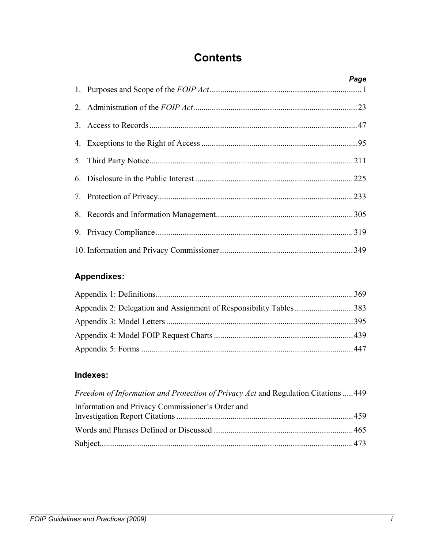## **Contents**

|  | Page |
|--|------|
|  |      |
|  |      |
|  |      |
|  |      |
|  |      |
|  |      |
|  |      |
|  |      |
|  |      |
|  |      |

## **Appendixes:**

## **Indexes:**

| Freedom of Information and Protection of Privacy Act and Regulation Citations  449 |  |
|------------------------------------------------------------------------------------|--|
| Information and Privacy Commissioner's Order and                                   |  |
|                                                                                    |  |
|                                                                                    |  |
|                                                                                    |  |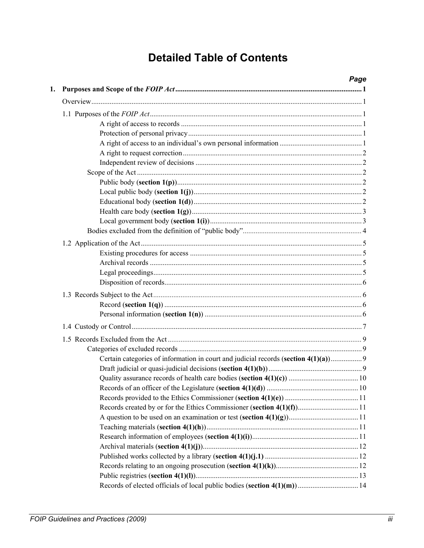## **Detailed Table of Contents**

| 1. |                                                                                   | Page |
|----|-----------------------------------------------------------------------------------|------|
|    |                                                                                   |      |
|    |                                                                                   |      |
|    |                                                                                   |      |
|    |                                                                                   |      |
|    |                                                                                   |      |
|    |                                                                                   |      |
|    |                                                                                   |      |
|    |                                                                                   |      |
|    |                                                                                   |      |
|    |                                                                                   |      |
|    |                                                                                   |      |
|    |                                                                                   |      |
|    |                                                                                   |      |
|    |                                                                                   |      |
|    |                                                                                   |      |
|    |                                                                                   |      |
|    |                                                                                   |      |
|    |                                                                                   |      |
|    |                                                                                   |      |
|    |                                                                                   |      |
|    |                                                                                   |      |
|    |                                                                                   |      |
|    |                                                                                   |      |
|    |                                                                                   |      |
|    |                                                                                   |      |
|    | Certain categories of information in court and judicial records (section 4(1)(a)) |      |
|    |                                                                                   |      |
|    |                                                                                   |      |
|    |                                                                                   |      |
|    |                                                                                   |      |
|    |                                                                                   |      |
|    |                                                                                   |      |
|    |                                                                                   |      |
|    |                                                                                   |      |
|    |                                                                                   |      |
|    |                                                                                   |      |
|    |                                                                                   |      |
|    |                                                                                   |      |
|    |                                                                                   |      |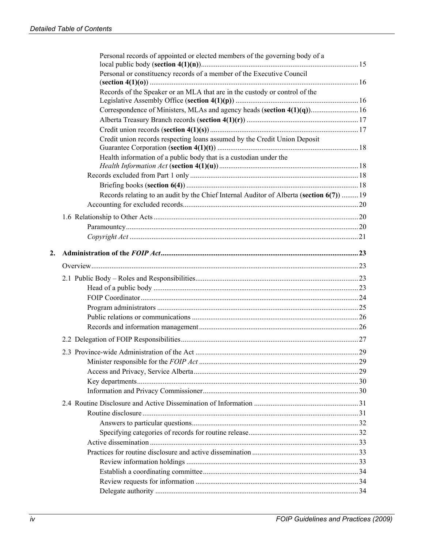|    | Personal records of appointed or elected members of the governing body of a              |    |
|----|------------------------------------------------------------------------------------------|----|
|    | Personal or constituency records of a member of the Executive Council                    |    |
|    | Records of the Speaker or an MLA that are in the custody or control of the               |    |
|    | Correspondence of Ministers, MLAs and agency heads (section 4(1)(q)) 16                  |    |
|    |                                                                                          |    |
|    |                                                                                          |    |
|    | Credit union records respecting loans assumed by the Credit Union Deposit                |    |
|    | Health information of a public body that is a custodian under the                        |    |
|    |                                                                                          |    |
|    |                                                                                          |    |
|    |                                                                                          |    |
|    | Records relating to an audit by the Chief Internal Auditor of Alberta (section 6(7))  19 |    |
|    |                                                                                          |    |
|    |                                                                                          |    |
|    |                                                                                          |    |
|    |                                                                                          |    |
| 2. |                                                                                          |    |
|    |                                                                                          |    |
|    |                                                                                          |    |
|    |                                                                                          |    |
|    |                                                                                          |    |
|    |                                                                                          |    |
|    |                                                                                          |    |
|    |                                                                                          |    |
|    |                                                                                          |    |
|    |                                                                                          |    |
|    |                                                                                          | 29 |
|    |                                                                                          |    |
|    |                                                                                          |    |
|    |                                                                                          |    |
|    |                                                                                          |    |
|    |                                                                                          |    |
|    |                                                                                          |    |
|    |                                                                                          |    |
|    |                                                                                          |    |
|    |                                                                                          |    |
|    |                                                                                          |    |
|    |                                                                                          |    |
|    |                                                                                          |    |
|    |                                                                                          |    |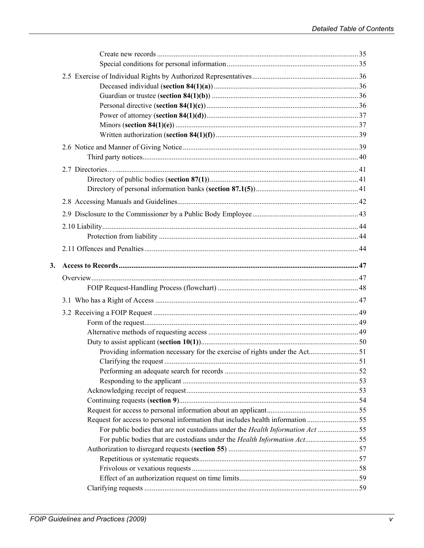| 3. |                                                                                                                                                                   |  |
|----|-------------------------------------------------------------------------------------------------------------------------------------------------------------------|--|
|    |                                                                                                                                                                   |  |
|    |                                                                                                                                                                   |  |
|    |                                                                                                                                                                   |  |
|    |                                                                                                                                                                   |  |
|    |                                                                                                                                                                   |  |
|    |                                                                                                                                                                   |  |
|    |                                                                                                                                                                   |  |
|    | Providing information necessary for the exercise of rights under the Act 51                                                                                       |  |
|    |                                                                                                                                                                   |  |
|    |                                                                                                                                                                   |  |
|    |                                                                                                                                                                   |  |
|    |                                                                                                                                                                   |  |
|    |                                                                                                                                                                   |  |
|    |                                                                                                                                                                   |  |
|    | Request for access to personal information that includes health information 55                                                                                    |  |
|    | For public bodies that are not custodians under the Health Information Act 55<br>For public bodies that are custodians under the <i>Health Information Act</i> 55 |  |
|    |                                                                                                                                                                   |  |
|    |                                                                                                                                                                   |  |
|    |                                                                                                                                                                   |  |
|    |                                                                                                                                                                   |  |
|    |                                                                                                                                                                   |  |
|    |                                                                                                                                                                   |  |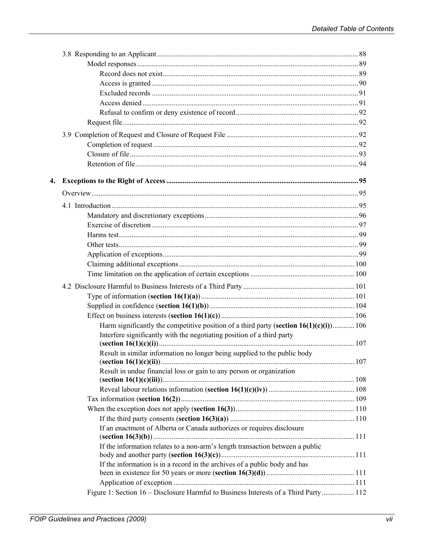| 4. |                                                                                           |  |
|----|-------------------------------------------------------------------------------------------|--|
|    |                                                                                           |  |
|    |                                                                                           |  |
|    |                                                                                           |  |
|    |                                                                                           |  |
|    |                                                                                           |  |
|    |                                                                                           |  |
|    |                                                                                           |  |
|    |                                                                                           |  |
|    |                                                                                           |  |
|    |                                                                                           |  |
|    |                                                                                           |  |
|    |                                                                                           |  |
|    |                                                                                           |  |
|    | Harm significantly the competitive position of a third party (section $16(1)(c)(i)$ ) 106 |  |
|    | Interfere significantly with the negotiating position of a third party                    |  |
|    |                                                                                           |  |
|    | Result in similar information no longer being supplied to the public body                 |  |
|    | Result in undue financial loss or gain to any person or organization                      |  |
|    |                                                                                           |  |
|    |                                                                                           |  |
|    |                                                                                           |  |
|    |                                                                                           |  |
|    |                                                                                           |  |
|    | If an enactment of Alberta or Canada authorizes or requires disclosure                    |  |
|    |                                                                                           |  |
|    | If the information relates to a non-arm's length transaction between a public             |  |
|    | If the information is in a record in the archives of a public body and has                |  |
|    |                                                                                           |  |
|    |                                                                                           |  |
|    | Figure 1: Section 16 – Disclosure Harmful to Business Interests of a Third Party 112      |  |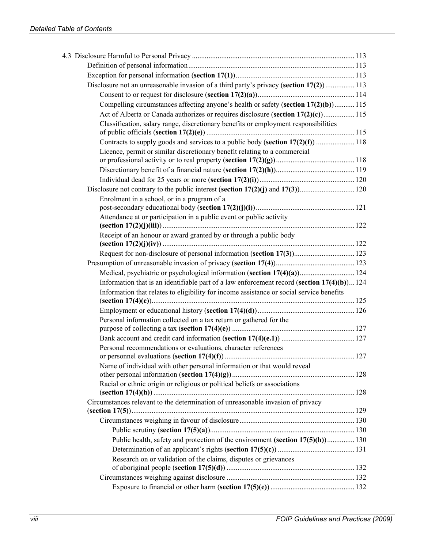| Disclosure not an unreasonable invasion of a third party's privacy (section 17(2)) 113         |  |
|------------------------------------------------------------------------------------------------|--|
|                                                                                                |  |
| Compelling circumstances affecting anyone's health or safety (section 17(2)(b)) 115            |  |
| Act of Alberta or Canada authorizes or requires disclosure (section 17(2)(c) 115               |  |
| Classification, salary range, discretionary benefits or employment responsibilities            |  |
| Contracts to supply goods and services to a public body (section 17(2)(f)  118                 |  |
| Licence, permit or similar discretionary benefit relating to a commercial                      |  |
|                                                                                                |  |
|                                                                                                |  |
|                                                                                                |  |
| Enrolment in a school, or in a program of a                                                    |  |
| Attendance at or participation in a public event or public activity                            |  |
|                                                                                                |  |
| Receipt of an honour or award granted by or through a public body                              |  |
|                                                                                                |  |
|                                                                                                |  |
| Medical, psychiatric or psychological information (section 17(4)(a)) 124                       |  |
| Information that is an identifiable part of a law enforcement record (section $17(4)(b)$ ) 124 |  |
| Information that relates to eligibility for income assistance or social service benefits       |  |
|                                                                                                |  |
| Personal information collected on a tax return or gathered for the                             |  |
|                                                                                                |  |
|                                                                                                |  |
| Personal recommendations or evaluations, character references                                  |  |
|                                                                                                |  |
| Name of individual with other personal information or that would reveal                        |  |
| Racial or ethnic origin or religious or political beliefs or associations                      |  |
| Circumstances relevant to the determination of unreasonable invasion of privacy                |  |
|                                                                                                |  |
|                                                                                                |  |
|                                                                                                |  |
| Public health, safety and protection of the environment (section 17(5)(b)) 130                 |  |
|                                                                                                |  |
| Research on or validation of the claims, disputes or grievances                                |  |
|                                                                                                |  |
|                                                                                                |  |
|                                                                                                |  |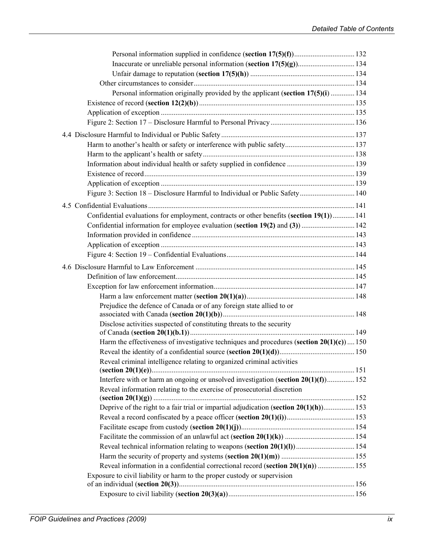| Personal information originally provided by the applicant (section 17(5)(i)  134            |  |
|---------------------------------------------------------------------------------------------|--|
|                                                                                             |  |
|                                                                                             |  |
|                                                                                             |  |
|                                                                                             |  |
|                                                                                             |  |
|                                                                                             |  |
|                                                                                             |  |
|                                                                                             |  |
|                                                                                             |  |
| Figure 3: Section 18 – Disclosure Harmful to Individual or Public Safety  140               |  |
|                                                                                             |  |
| Confidential evaluations for employment, contracts or other benefits (section 19(1)) 141    |  |
|                                                                                             |  |
|                                                                                             |  |
|                                                                                             |  |
|                                                                                             |  |
|                                                                                             |  |
|                                                                                             |  |
|                                                                                             |  |
|                                                                                             |  |
| Prejudice the defence of Canada or of any foreign state allied to or                        |  |
|                                                                                             |  |
| Disclose activities suspected of constituting threats to the security                       |  |
|                                                                                             |  |
| Harm the effectiveness of investigative techniques and procedures (section $20(1)(c)$ ) 150 |  |
|                                                                                             |  |
| Reveal criminal intelligence relating to organized criminal activities                      |  |
| Interfere with or harm an ongoing or unsolved investigation (section $20(1)(f)$ ) 152       |  |
| Reveal information relating to the exercise of prosecutorial discretion                     |  |
|                                                                                             |  |
| Deprive of the right to a fair trial or impartial adjudication (section $20(1)(h)$ ) 153    |  |
|                                                                                             |  |
|                                                                                             |  |
|                                                                                             |  |
|                                                                                             |  |
|                                                                                             |  |
| Reveal information in a confidential correctional record (section $20(1)(n)$ )  155         |  |
| Exposure to civil liability or harm to the proper custody or supervision                    |  |
|                                                                                             |  |
|                                                                                             |  |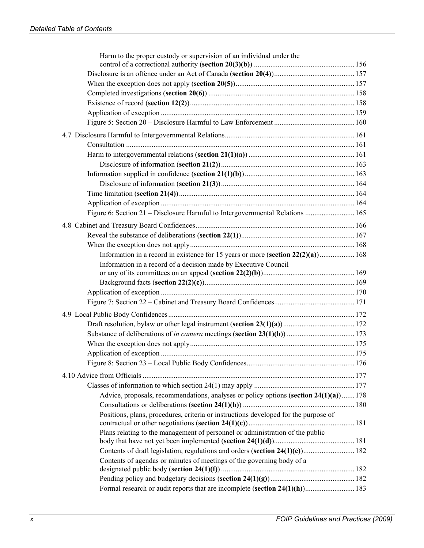| Harm to the proper custody or supervision of an individual under the                  |  |
|---------------------------------------------------------------------------------------|--|
|                                                                                       |  |
|                                                                                       |  |
|                                                                                       |  |
|                                                                                       |  |
|                                                                                       |  |
|                                                                                       |  |
|                                                                                       |  |
|                                                                                       |  |
|                                                                                       |  |
|                                                                                       |  |
|                                                                                       |  |
|                                                                                       |  |
|                                                                                       |  |
|                                                                                       |  |
| Figure 6: Section 21 – Disclosure Harmful to Intergovernmental Relations  165         |  |
|                                                                                       |  |
|                                                                                       |  |
|                                                                                       |  |
| Information in a record in existence for 15 years or more (section $22(2)(a)$ ) 168   |  |
| Information in a record of a decision made by Executive Council                       |  |
|                                                                                       |  |
|                                                                                       |  |
|                                                                                       |  |
|                                                                                       |  |
|                                                                                       |  |
|                                                                                       |  |
|                                                                                       |  |
|                                                                                       |  |
|                                                                                       |  |
|                                                                                       |  |
|                                                                                       |  |
| Advice, proposals, recommendations, analyses or policy options (section 24(1)(a)) 178 |  |
|                                                                                       |  |
| Positions, plans, procedures, criteria or instructions developed for the purpose of   |  |
|                                                                                       |  |
| Plans relating to the management of personnel or administration of the public         |  |
|                                                                                       |  |
| Contents of draft legislation, regulations and orders (section 24(1)(e)) 182          |  |
| Contents of agendas or minutes of meetings of the governing body of a                 |  |
|                                                                                       |  |
| Formal research or audit reports that are incomplete (section 24(1)(h)) 183           |  |
|                                                                                       |  |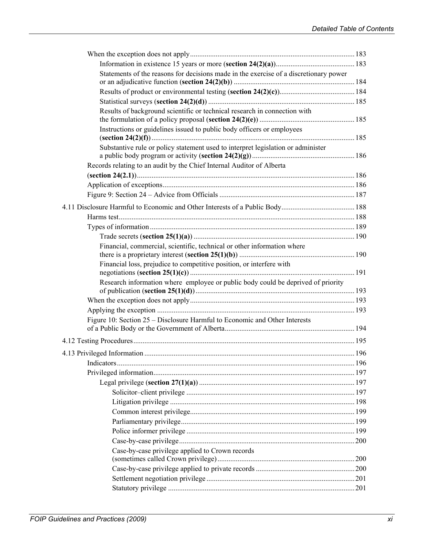| Statements of the reasons for decisions made in the exercise of a discretionary power |  |
|---------------------------------------------------------------------------------------|--|
|                                                                                       |  |
|                                                                                       |  |
| Results of background scientific or technical research in connection with             |  |
|                                                                                       |  |
| Instructions or guidelines issued to public body officers or employees                |  |
| Substantive rule or policy statement used to interpret legislation or administer      |  |
| Records relating to an audit by the Chief Internal Auditor of Alberta                 |  |
|                                                                                       |  |
|                                                                                       |  |
|                                                                                       |  |
|                                                                                       |  |
|                                                                                       |  |
|                                                                                       |  |
|                                                                                       |  |
| Financial, commercial, scientific, technical or other information where               |  |
| Financial loss, prejudice to competitive position, or interfere with                  |  |
| Research information where employee or public body could be deprived of priority      |  |
|                                                                                       |  |
|                                                                                       |  |
| Figure 10: Section 25 – Disclosure Harmful to Economic and Other Interests            |  |
|                                                                                       |  |
|                                                                                       |  |
|                                                                                       |  |
|                                                                                       |  |
|                                                                                       |  |
|                                                                                       |  |
|                                                                                       |  |
|                                                                                       |  |
|                                                                                       |  |
|                                                                                       |  |
|                                                                                       |  |
| Case-by-case privilege applied to Crown records                                       |  |
|                                                                                       |  |
|                                                                                       |  |
|                                                                                       |  |
|                                                                                       |  |
|                                                                                       |  |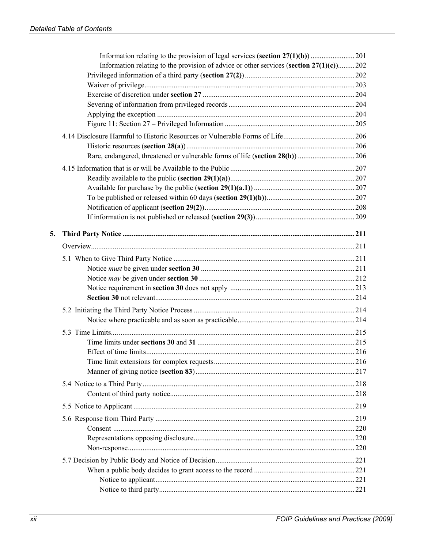|    | Information relating to the provision of advice or other services (section $27(1)(c)$ )202 |  |
|----|--------------------------------------------------------------------------------------------|--|
|    |                                                                                            |  |
|    |                                                                                            |  |
|    |                                                                                            |  |
|    |                                                                                            |  |
|    |                                                                                            |  |
|    |                                                                                            |  |
|    |                                                                                            |  |
|    |                                                                                            |  |
|    |                                                                                            |  |
|    |                                                                                            |  |
|    |                                                                                            |  |
|    |                                                                                            |  |
|    |                                                                                            |  |
|    |                                                                                            |  |
|    |                                                                                            |  |
|    |                                                                                            |  |
| 5. |                                                                                            |  |
|    |                                                                                            |  |
|    |                                                                                            |  |
|    |                                                                                            |  |
|    |                                                                                            |  |
|    |                                                                                            |  |
|    |                                                                                            |  |
|    |                                                                                            |  |
|    |                                                                                            |  |
|    |                                                                                            |  |
|    |                                                                                            |  |
|    |                                                                                            |  |
|    |                                                                                            |  |
|    |                                                                                            |  |
|    |                                                                                            |  |
|    |                                                                                            |  |
|    |                                                                                            |  |
|    |                                                                                            |  |
|    |                                                                                            |  |
|    |                                                                                            |  |
|    |                                                                                            |  |
|    |                                                                                            |  |
|    |                                                                                            |  |
|    |                                                                                            |  |
|    |                                                                                            |  |
|    |                                                                                            |  |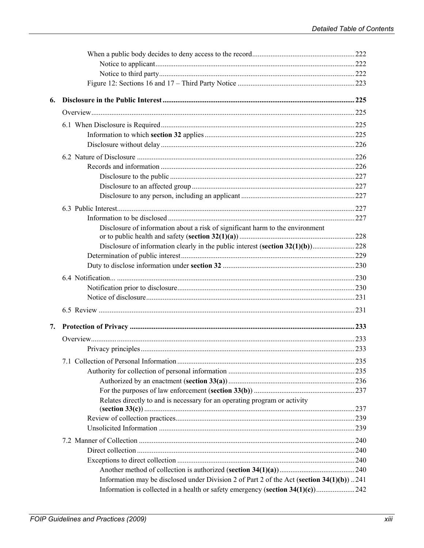| 6. |                                                                                             |  |
|----|---------------------------------------------------------------------------------------------|--|
|    |                                                                                             |  |
|    |                                                                                             |  |
|    |                                                                                             |  |
|    |                                                                                             |  |
|    |                                                                                             |  |
|    |                                                                                             |  |
|    |                                                                                             |  |
|    |                                                                                             |  |
|    |                                                                                             |  |
|    |                                                                                             |  |
|    |                                                                                             |  |
|    | Disclosure of information about a risk of significant harm to the environment               |  |
|    | Disclosure of information clearly in the public interest (section 32(1)(b))228              |  |
|    |                                                                                             |  |
|    |                                                                                             |  |
|    |                                                                                             |  |
|    |                                                                                             |  |
|    |                                                                                             |  |
|    |                                                                                             |  |
| 7. |                                                                                             |  |
|    |                                                                                             |  |
|    |                                                                                             |  |
|    | 235                                                                                         |  |
|    |                                                                                             |  |
|    |                                                                                             |  |
|    |                                                                                             |  |
|    | Relates directly to and is necessary for an operating program or activity                   |  |
|    |                                                                                             |  |
|    |                                                                                             |  |
|    |                                                                                             |  |
|    |                                                                                             |  |
|    |                                                                                             |  |
|    |                                                                                             |  |
|    | Information may be disclosed under Division 2 of Part 2 of the Act (section $34(1)(b)$ )241 |  |
|    | Information is collected in a health or safety emergency (section 34(1)(c))242              |  |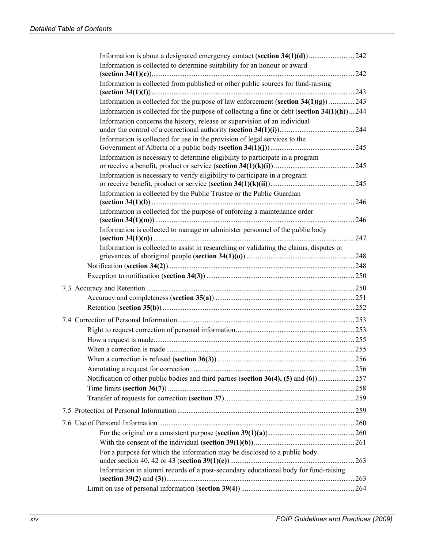| Information is collected to determine suitability for an honour or award                       |      |
|------------------------------------------------------------------------------------------------|------|
|                                                                                                |      |
| Information is collected from published or other public sources for fund-raising               |      |
| Information is collected for the purpose of law enforcement (section $34(1)(g)$ ) 243          |      |
| Information is collected for the purpose of collecting a fine or debt (section $34(1)(h)$ )244 |      |
| Information concerns the history, release or supervision of an individual                      |      |
|                                                                                                |      |
| Information is collected for use in the provision of legal services to the                     |      |
|                                                                                                |      |
| Information is necessary to determine eligibility to participate in a program                  |      |
| Information is necessary to verify eligibility to participate in a program                     |      |
|                                                                                                |      |
| Information is collected by the Public Trustee or the Public Guardian                          |      |
|                                                                                                |      |
| Information is collected for the purpose of enforcing a maintenance order                      |      |
|                                                                                                |      |
| Information is collected to manage or administer personnel of the public body                  |      |
| Information is collected to assist in researching or validating the claims, disputes or        |      |
|                                                                                                |      |
|                                                                                                |      |
|                                                                                                |      |
|                                                                                                |      |
|                                                                                                |      |
|                                                                                                |      |
|                                                                                                |      |
|                                                                                                |      |
|                                                                                                |      |
|                                                                                                |      |
|                                                                                                |      |
|                                                                                                |      |
|                                                                                                |      |
|                                                                                                |      |
|                                                                                                |      |
|                                                                                                |      |
|                                                                                                | .260 |
|                                                                                                |      |
|                                                                                                |      |
| For a purpose for which the information may be disclosed to a public body                      |      |
| Information in alumni records of a post-secondary educational body for fund-raising            | 263  |
|                                                                                                | .263 |
|                                                                                                |      |
|                                                                                                |      |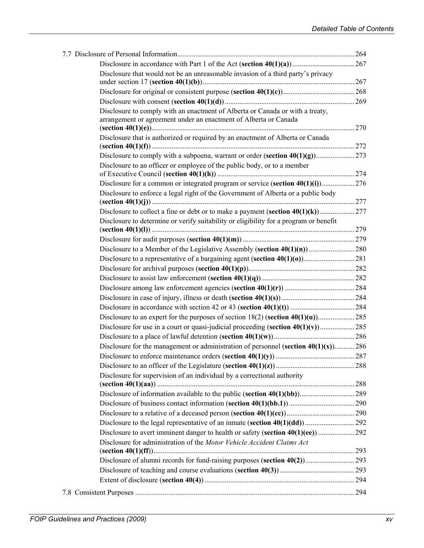| Disclosure that would not be an unreasonable invasion of a third party's privacy                                                                  |  |
|---------------------------------------------------------------------------------------------------------------------------------------------------|--|
|                                                                                                                                                   |  |
|                                                                                                                                                   |  |
| Disclosure to comply with an enactment of Alberta or Canada or with a treaty,<br>arrangement or agreement under an enactment of Alberta or Canada |  |
| Disclosure that is authorized or required by an enactment of Alberta or Canada                                                                    |  |
|                                                                                                                                                   |  |
| Disclosure to an officer or employee of the public body, or to a member                                                                           |  |
|                                                                                                                                                   |  |
| Disclosure to enforce a legal right of the Government of Alberta or a public body                                                                 |  |
|                                                                                                                                                   |  |
| Disclosure to determine or verify suitability or eligibility for a program or benefit                                                             |  |
|                                                                                                                                                   |  |
|                                                                                                                                                   |  |
|                                                                                                                                                   |  |
|                                                                                                                                                   |  |
|                                                                                                                                                   |  |
|                                                                                                                                                   |  |
|                                                                                                                                                   |  |
|                                                                                                                                                   |  |
|                                                                                                                                                   |  |
|                                                                                                                                                   |  |
|                                                                                                                                                   |  |
| Disclosure for the management or administration of personnel (section $40(1)(x)$ ) 286                                                            |  |
|                                                                                                                                                   |  |
|                                                                                                                                                   |  |
| Disclosure for supervision of an individual by a correctional authority                                                                           |  |
|                                                                                                                                                   |  |
|                                                                                                                                                   |  |
|                                                                                                                                                   |  |
|                                                                                                                                                   |  |
| Disclosure for administration of the Motor Vehicle Accident Claims Act                                                                            |  |
|                                                                                                                                                   |  |
|                                                                                                                                                   |  |
|                                                                                                                                                   |  |
|                                                                                                                                                   |  |
|                                                                                                                                                   |  |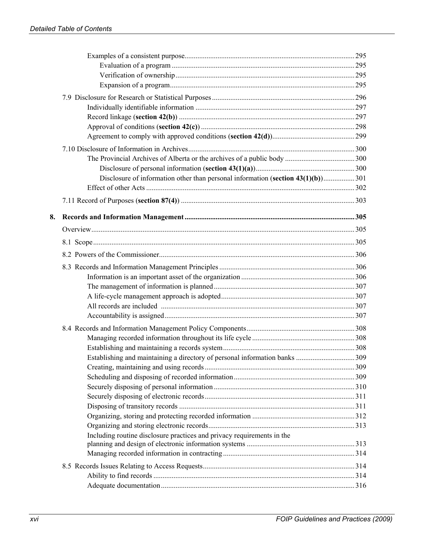| 8. |                                                                        |  |
|----|------------------------------------------------------------------------|--|
|    |                                                                        |  |
|    |                                                                        |  |
|    |                                                                        |  |
|    |                                                                        |  |
|    |                                                                        |  |
|    |                                                                        |  |
|    |                                                                        |  |
|    |                                                                        |  |
|    |                                                                        |  |
|    |                                                                        |  |
|    |                                                                        |  |
|    |                                                                        |  |
|    |                                                                        |  |
|    |                                                                        |  |
|    |                                                                        |  |
|    |                                                                        |  |
|    |                                                                        |  |
|    |                                                                        |  |
|    |                                                                        |  |
|    |                                                                        |  |
|    | Including routine disclosure practices and privacy requirements in the |  |
|    |                                                                        |  |
|    |                                                                        |  |
|    |                                                                        |  |
|    |                                                                        |  |
|    |                                                                        |  |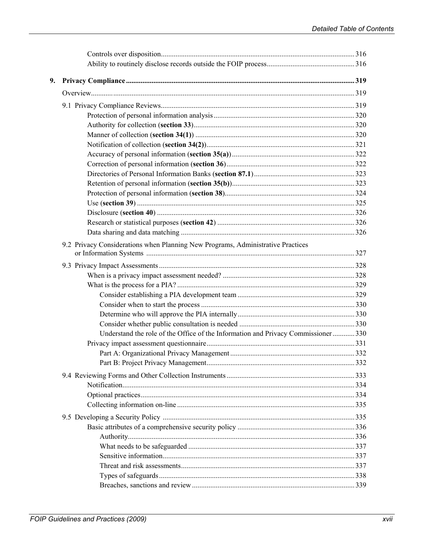| 9. |                                                                                  |  |
|----|----------------------------------------------------------------------------------|--|
|    |                                                                                  |  |
|    |                                                                                  |  |
|    |                                                                                  |  |
|    |                                                                                  |  |
|    |                                                                                  |  |
|    |                                                                                  |  |
|    |                                                                                  |  |
|    |                                                                                  |  |
|    |                                                                                  |  |
|    |                                                                                  |  |
|    |                                                                                  |  |
|    |                                                                                  |  |
|    |                                                                                  |  |
|    |                                                                                  |  |
|    |                                                                                  |  |
|    | 9.2 Privacy Considerations when Planning New Programs, Administrative Practices  |  |
|    |                                                                                  |  |
|    |                                                                                  |  |
|    |                                                                                  |  |
|    |                                                                                  |  |
|    |                                                                                  |  |
|    |                                                                                  |  |
|    |                                                                                  |  |
|    | Understand the role of the Office of the Information and Privacy Commissioner330 |  |
|    |                                                                                  |  |
|    |                                                                                  |  |
|    |                                                                                  |  |
|    |                                                                                  |  |
|    |                                                                                  |  |
|    |                                                                                  |  |
|    |                                                                                  |  |
|    |                                                                                  |  |
|    |                                                                                  |  |
|    |                                                                                  |  |
|    |                                                                                  |  |
|    |                                                                                  |  |
|    |                                                                                  |  |
|    |                                                                                  |  |
|    |                                                                                  |  |
|    |                                                                                  |  |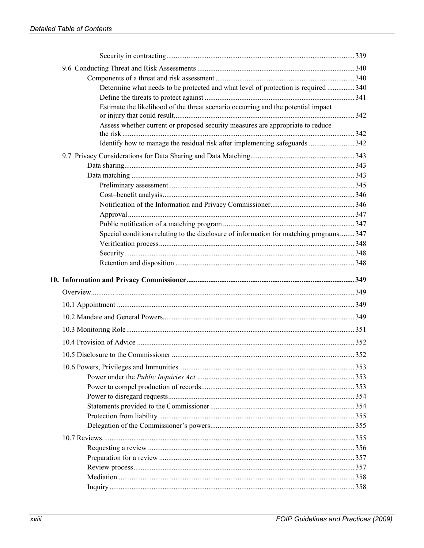| Determine what needs to be protected and what level of protection is required  340     |  |
|----------------------------------------------------------------------------------------|--|
|                                                                                        |  |
| Estimate the likelihood of the threat scenario occurring and the potential impact      |  |
| Assess whether current or proposed security measures are appropriate to reduce         |  |
|                                                                                        |  |
| Identify how to manage the residual risk after implementing safeguards 342             |  |
|                                                                                        |  |
|                                                                                        |  |
|                                                                                        |  |
|                                                                                        |  |
|                                                                                        |  |
|                                                                                        |  |
|                                                                                        |  |
|                                                                                        |  |
| Special conditions relating to the disclosure of information for matching programs 347 |  |
|                                                                                        |  |
|                                                                                        |  |
|                                                                                        |  |
|                                                                                        |  |
|                                                                                        |  |
|                                                                                        |  |
|                                                                                        |  |
|                                                                                        |  |
|                                                                                        |  |
|                                                                                        |  |
|                                                                                        |  |
|                                                                                        |  |
|                                                                                        |  |
|                                                                                        |  |
|                                                                                        |  |
|                                                                                        |  |
|                                                                                        |  |
|                                                                                        |  |
|                                                                                        |  |
|                                                                                        |  |
|                                                                                        |  |
|                                                                                        |  |
|                                                                                        |  |
|                                                                                        |  |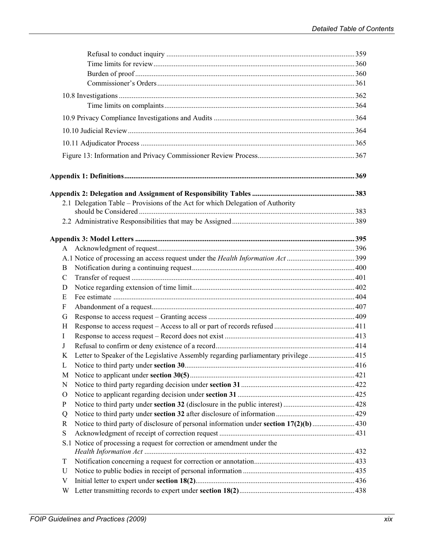|                           | 2.1 Delegation Table - Provisions of the Act for which Delegation of Authority       |  |
|---------------------------|--------------------------------------------------------------------------------------|--|
|                           |                                                                                      |  |
|                           |                                                                                      |  |
|                           |                                                                                      |  |
| A                         |                                                                                      |  |
|                           |                                                                                      |  |
| B                         |                                                                                      |  |
| $\mathcal{C}$             |                                                                                      |  |
| D                         |                                                                                      |  |
| Е                         |                                                                                      |  |
| $\boldsymbol{\mathrm{F}}$ |                                                                                      |  |
| G                         |                                                                                      |  |
| H                         |                                                                                      |  |
| I                         |                                                                                      |  |
| J                         |                                                                                      |  |
| K                         | Letter to Speaker of the Legislative Assembly regarding parliamentary privilege  415 |  |
| L                         |                                                                                      |  |
| M                         |                                                                                      |  |
| N                         |                                                                                      |  |
| $\rm{O}$                  |                                                                                      |  |
| $\mathbf{P}$              |                                                                                      |  |
| Q                         |                                                                                      |  |
| R                         |                                                                                      |  |
| S                         |                                                                                      |  |
|                           | S.1 Notice of processing a request for correction or amendment under the             |  |
|                           |                                                                                      |  |
| T                         |                                                                                      |  |
| U                         |                                                                                      |  |
| V                         |                                                                                      |  |
| W                         |                                                                                      |  |